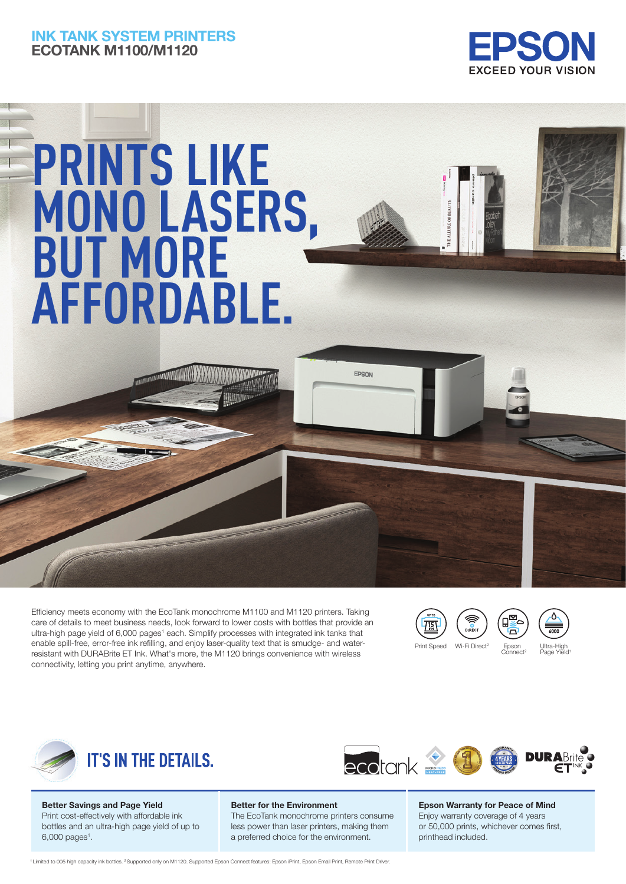# INK TANK SYSTEM PRINTERS ECOTANK M1100/M1120



# **PRINTS LIKE MONO LASERS, BUT MORE AFFORDABLE.**

Efficiency meets economy with the EcoTank monochrome M1100 and M1120 printers. Taking care of details to meet business needs, look forward to lower costs with bottles that provide an ultra-high page yield of 6,000 pages<sup>1</sup> each. Simplify processes with integrated ink tanks that enable spill-free, error-free ink refilling, and enjoy laser-quality text that is smudge- and waterresistant with DURABrite ET Ink. What's more, the M1120 brings convenience with wireless connectivity, letting you print anytime, anywhere.





Print Speed Wi-Fi Direct

EPSON

Ultra-Hi Page Yield

Epson<br>Connect

 $\bar{\mathbf{a}}$ 





Better Savings and Page Yield Print cost-effectively with affordable ink bottles and an ultra-high page yield of up to  $6,000$  pages<sup>1</sup>.

## Better for the Environment

The EcoTank monochrome printers consume less power than laser printers, making them a preferred choice for the environment.

Epson Warranty for Peace of Mind Enjoy warranty coverage of 4 years or 50,000 prints, whichever comes first, printhead included.

<sup>1</sup> Limited to 005 high capacity ink bottles. <sup>2</sup> Supported only on M1120. Supported Epson Connect features: Epson iPrint, Epson Email Print, Remote Print Driver.